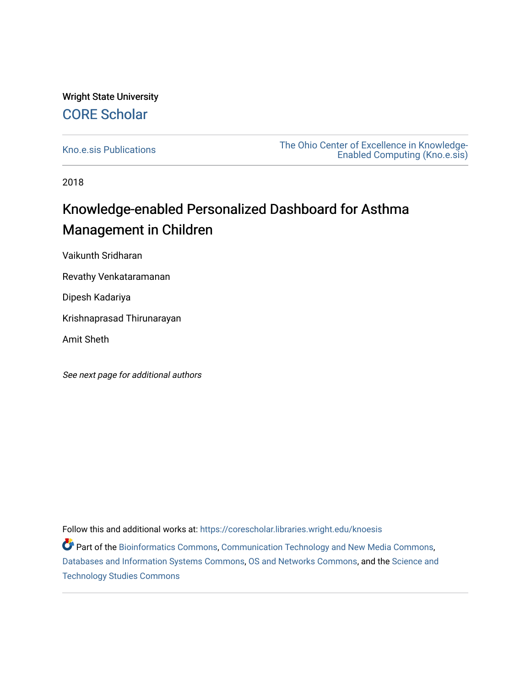## Wright State University [CORE Scholar](https://corescholar.libraries.wright.edu/)

[Kno.e.sis Publications](https://corescholar.libraries.wright.edu/knoesis) [The Ohio Center of Excellence in Knowledge-](https://corescholar.libraries.wright.edu/knoesis_comm)[Enabled Computing \(Kno.e.sis\)](https://corescholar.libraries.wright.edu/knoesis_comm) 

2018

## Knowledge-enabled Personalized Dashboard for Asthma Management in Children

Vaikunth Sridharan

Revathy Venkataramanan

Dipesh Kadariya

Krishnaprasad Thirunarayan

Amit Sheth

See next page for additional authors

Follow this and additional works at: [https://corescholar.libraries.wright.edu/knoesis](https://corescholar.libraries.wright.edu/knoesis?utm_source=corescholar.libraries.wright.edu%2Fknoesis%2F1175&utm_medium=PDF&utm_campaign=PDFCoverPages) 

Part of the [Bioinformatics Commons,](http://network.bepress.com/hgg/discipline/110?utm_source=corescholar.libraries.wright.edu%2Fknoesis%2F1175&utm_medium=PDF&utm_campaign=PDFCoverPages) [Communication Technology and New Media Commons,](http://network.bepress.com/hgg/discipline/327?utm_source=corescholar.libraries.wright.edu%2Fknoesis%2F1175&utm_medium=PDF&utm_campaign=PDFCoverPages) [Databases and Information Systems Commons](http://network.bepress.com/hgg/discipline/145?utm_source=corescholar.libraries.wright.edu%2Fknoesis%2F1175&utm_medium=PDF&utm_campaign=PDFCoverPages), [OS and Networks Commons](http://network.bepress.com/hgg/discipline/149?utm_source=corescholar.libraries.wright.edu%2Fknoesis%2F1175&utm_medium=PDF&utm_campaign=PDFCoverPages), and the [Science and](http://network.bepress.com/hgg/discipline/435?utm_source=corescholar.libraries.wright.edu%2Fknoesis%2F1175&utm_medium=PDF&utm_campaign=PDFCoverPages) [Technology Studies Commons](http://network.bepress.com/hgg/discipline/435?utm_source=corescholar.libraries.wright.edu%2Fknoesis%2F1175&utm_medium=PDF&utm_campaign=PDFCoverPages)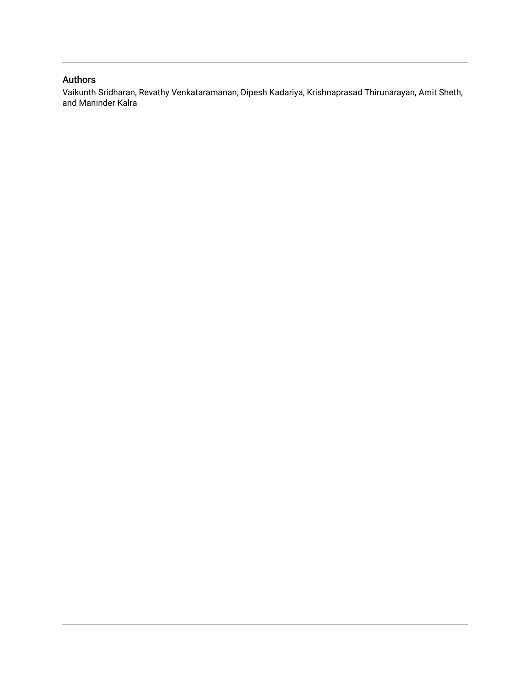## Authors

Vaikunth Sridharan, Revathy Venkataramanan, Dipesh Kadariya, Krishnaprasad Thirunarayan, Amit Sheth, and Maninder Kalra